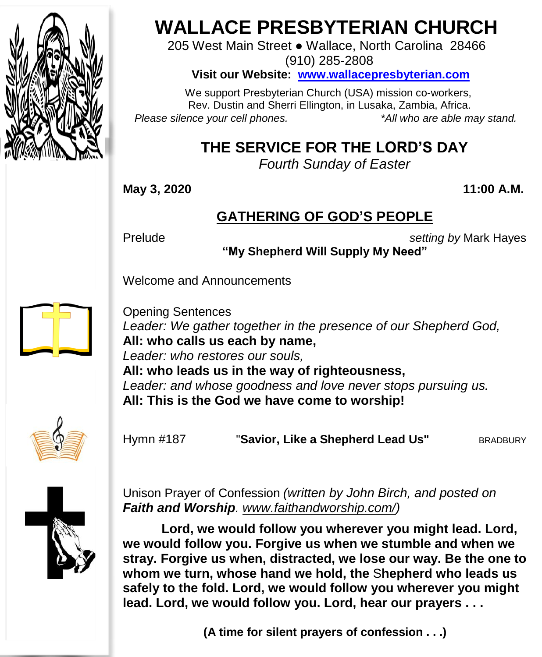

# **WALLACE PRESBYTERIAN CHURCH**

205 West Main Street ● Wallace, North Carolina 28466 (910) 285-2808

**Visit our Website: [www.wallacepresbyterian.com](http://www.wallacepresbyterian.com/)**

 We support Presbyterian Church (USA) mission co-workers, Rev. Dustin and Sherri Ellington, in Lusaka, Zambia, Africa. *Please silence your cell phones. \*All who are able may stand.*

# **THE SERVICE FOR THE LORD'S DAY**

*Fourth Sunday of Easter*

**May 3, 2020 11:00 A.M.**

### **GATHERING OF GOD'S PEOPLE**

Prelude *setting by* Mark Hayes

**"My Shepherd Will Supply My Need"**

Welcome and Announcements



Opening Sentences *Leader: We gather together in the presence of our Shepherd God,* **All: who calls us each by name,** *Leader: who restores our souls,* **All: who leads us in the way of righteousness,** *Leader: and whose goodness and love never stops pursuing us.* **All: This is the God we have come to worship!**



Hymn #187 "**Savior, Like a Shepherd Lead Us"** BRADBURY



Unison Prayer of Confession *(written by John Birch, and posted on Faith and Worship. [www.faithandworship.com/\)](http://www.faithandworship.com/)*

**Lord, we would follow you wherever you might lead. Lord, we would follow you. Forgive us when we stumble and when we stray. Forgive us when, distracted, we lose our way. Be the one to whom we turn, whose hand we hold, the** S**hepherd who leads us safely to the fold. Lord, we would follow you wherever you might lead. Lord, we would follow you. Lord, hear our prayers . . .**

**(A time for silent prayers of confession . . .)**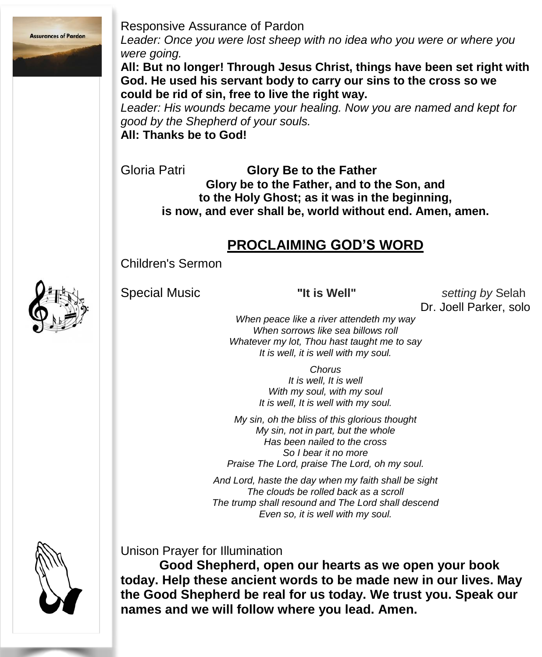

Responsive Assurance of Pardon

*Leader: Once you were lost sheep with no idea who you were or where you were going.*

**All: But no longer! Through Jesus Christ, things have been set right with God. He used his servant body to carry our sins to the cross so we could be rid of sin, free to live the right way.**

*Leader: His wounds became your healing. Now you are named and kept for good by the Shepherd of your souls.* **All: Thanks be to God!**

Gloria Patri **Glory Be to the Father Glory be to the Father, and to the Son, and to the Holy Ghost; as it was in the beginning, is now, and ever shall be, world without end. Amen, amen.**

#### **PROCLAIMING GOD'S WORD**

Children's Sermon



Special Music **"It is Well"** *setting by* Selah Dr. Joell Parker, solo

*When peace like a river attendeth my way When sorrows like sea billows roll Whatever my lot, Thou hast taught me to say It is well, it is well with my soul.*

> *Chorus It is well, It is well With my soul, with my soul It is well, It is well with my soul.*

*My sin, oh the bliss of this glorious thought My sin, not in part, but the whole Has been nailed to the cross So I bear it no more Praise The Lord, praise The Lord, oh my soul.*

*And Lord, haste the day when my faith shall be sight The clouds be rolled back as a scroll The trump shall resound and The Lord shall descend Even so, it is well with my soul.*



Unison Prayer for Illumination

**Good Shepherd, open our hearts as we open your book today. Help these ancient words to be made new in our lives. May the Good Shepherd be real for us today. We trust you. Speak our names and we will follow where you lead. Amen.**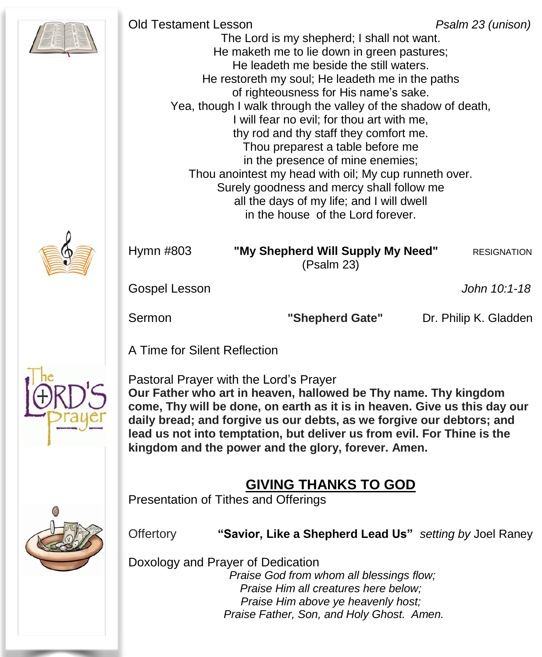| <b>Old Testament Lesson</b> | The Lord is my shepherd; I shall not want.<br>He maketh me to lie down in green pastures;<br>He leadeth me beside the still waters.<br>He restoreth my soul; He leadeth me in the paths<br>of righteousness for His name's sake.<br>Yea, though I walk through the valley of the shadow of death,<br>I will fear no evil; for thou art with me,<br>thy rod and thy staff they comfort me.<br>Thou preparest a table before me<br>in the presence of mine enemies;<br>Thou anointest my head with oil; My cup runneth over.<br>Surely goodness and mercy shall follow me<br>all the days of my life; and I will dwell<br>in the house of the Lord forever. | Psalm 23 (unison)     |
|-----------------------------|-----------------------------------------------------------------------------------------------------------------------------------------------------------------------------------------------------------------------------------------------------------------------------------------------------------------------------------------------------------------------------------------------------------------------------------------------------------------------------------------------------------------------------------------------------------------------------------------------------------------------------------------------------------|-----------------------|
| Hymn #803                   | "My Shepherd Will Supply My Need"<br>(Psalm 23)                                                                                                                                                                                                                                                                                                                                                                                                                                                                                                                                                                                                           | <b>RESIGNATION</b>    |
| Gospel Lesson               |                                                                                                                                                                                                                                                                                                                                                                                                                                                                                                                                                                                                                                                           | John 10:1-18          |
| Sermon                      | "Shepherd Gate"                                                                                                                                                                                                                                                                                                                                                                                                                                                                                                                                                                                                                                           | Dr. Philip K. Gladden |

A Time for Silent Reflection



Pastoral Prayer with the Lord's Prayer **Our Father who art in heaven, hallowed be Thy name. Thy kingdom come, Thy will be done, on earth as it is in heaven. Give us this day our daily bread; and forgive us our debts, as we forgive our debtors; and lead us not into temptation, but deliver us from evil. For Thine is the kingdom and the power and the glory, forever. Amen.**

## **GIVING THANKS TO GOD**

Presentation of Tithes and Offerings



Offertory **"Savior, Like a Shepherd Lead Us"** *setting by* Joel Raney

Doxology and Prayer of Dedication

*Praise God from whom all blessings flow; Praise Him all creatures here below; Praise Him above ye heavenly host; Praise Father, Son, and Holy Ghost. Amen.*